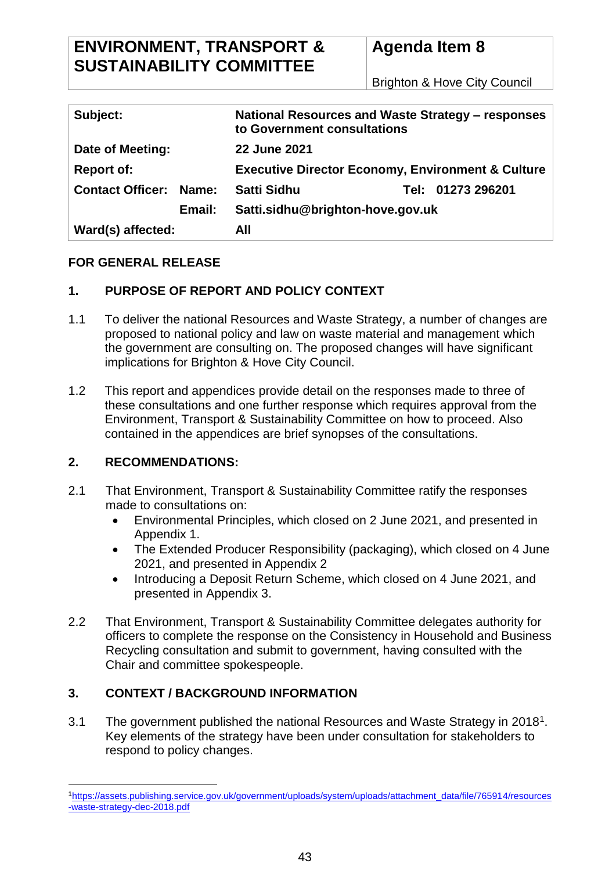# **ENVIRONMENT, TRANSPORT & SUSTAINABILITY COMMITTEE**

Brighton & Hove City Council

| Subject:                         | National Resources and Waste Strategy – responses<br>to Government consultations |
|----------------------------------|----------------------------------------------------------------------------------|
| Date of Meeting:                 | 22 June 2021                                                                     |
| <b>Report of:</b>                | <b>Executive Director Economy, Environment &amp; Culture</b>                     |
| <b>Contact Officer:</b><br>Name: | <b>Satti Sidhu</b><br>Tel: 01273 296201                                          |
| Email:                           | Satti.sidhu@brighton-hove.gov.uk                                                 |
| Ward(s) affected:                | All                                                                              |

## **FOR GENERAL RELEASE**

## **1. PURPOSE OF REPORT AND POLICY CONTEXT**

- 1.1 To deliver the national Resources and Waste Strategy, a number of changes are proposed to national policy and law on waste material and management which the government are consulting on. The proposed changes will have significant implications for Brighton & Hove City Council.
- 1.2 This report and appendices provide detail on the responses made to three of these consultations and one further response which requires approval from the Environment, Transport & Sustainability Committee on how to proceed. Also contained in the appendices are brief synopses of the consultations.

## **2. RECOMMENDATIONS:**

 $\overline{a}$ 

- 2.1 That Environment, Transport & Sustainability Committee ratify the responses made to consultations on:
	- Environmental Principles, which closed on 2 June 2021, and presented in Appendix 1.
	- The Extended Producer Responsibility (packaging), which closed on 4 June 2021, and presented in Appendix 2
	- Introducing a Deposit Return Scheme, which closed on 4 June 2021, and presented in Appendix 3.
- 2.2 That Environment, Transport & Sustainability Committee delegates authority for officers to complete the response on the Consistency in Household and Business Recycling consultation and submit to government, having consulted with the Chair and committee spokespeople.

## **3. CONTEXT / BACKGROUND INFORMATION**

3.1 The government published the national Resources and Waste Strategy in 2018<sup>1</sup>. Key elements of the strategy have been under consultation for stakeholders to respond to policy changes.

<sup>1</sup>[https://assets.publishing.service.gov.uk/government/uploads/system/uploads/attachment\\_data/file/765914/resources](https://assets.publishing.service.gov.uk/government/uploads/system/uploads/attachment_data/file/765914/resources-waste-strategy-dec-2018.pdf) [-waste-strategy-dec-2018.pdf](https://assets.publishing.service.gov.uk/government/uploads/system/uploads/attachment_data/file/765914/resources-waste-strategy-dec-2018.pdf)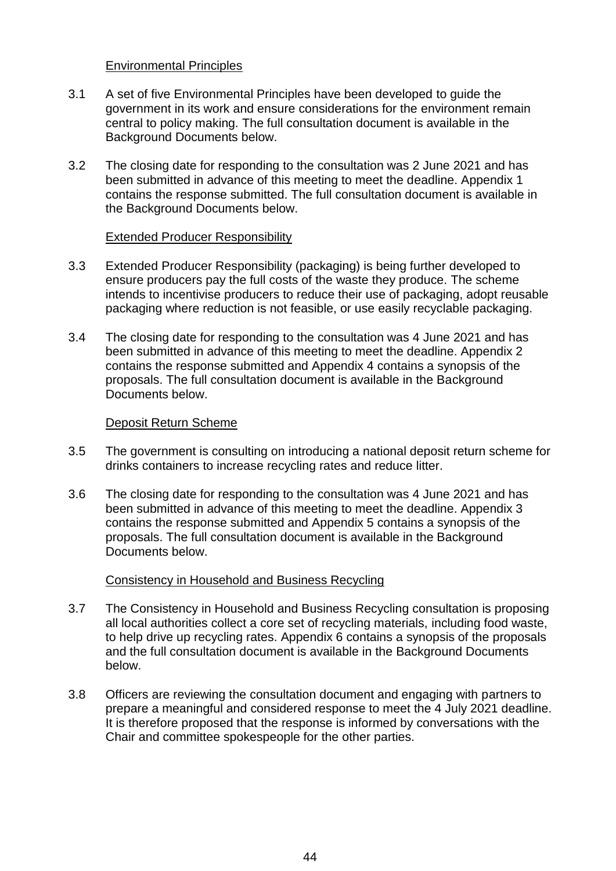#### Environmental Principles

- 3.1 A set of five Environmental Principles have been developed to guide the government in its work and ensure considerations for the environment remain central to policy making. The full consultation document is available in the Background Documents below.
- 3.2 The closing date for responding to the consultation was 2 June 2021 and has been submitted in advance of this meeting to meet the deadline. Appendix 1 contains the response submitted. The full consultation document is available in the Background Documents below.

#### Extended Producer Responsibility

- 3.3 Extended Producer Responsibility (packaging) is being further developed to ensure producers pay the full costs of the waste they produce. The scheme intends to incentivise producers to reduce their use of packaging, adopt reusable packaging where reduction is not feasible, or use easily recyclable packaging.
- 3.4 The closing date for responding to the consultation was 4 June 2021 and has been submitted in advance of this meeting to meet the deadline. Appendix 2 contains the response submitted and Appendix 4 contains a synopsis of the proposals. The full consultation document is available in the Background Documents below.

#### Deposit Return Scheme

- 3.5 The government is consulting on introducing a national deposit return scheme for drinks containers to increase recycling rates and reduce litter.
- 3.6 The closing date for responding to the consultation was 4 June 2021 and has been submitted in advance of this meeting to meet the deadline. Appendix 3 contains the response submitted and Appendix 5 contains a synopsis of the proposals. The full consultation document is available in the Background Documents below.

#### Consistency in Household and Business Recycling

- 3.7 The Consistency in Household and Business Recycling consultation is proposing all local authorities collect a core set of recycling materials, including food waste, to help drive up recycling rates. Appendix 6 contains a synopsis of the proposals and the full consultation document is available in the Background Documents below.
- 3.8 Officers are reviewing the consultation document and engaging with partners to prepare a meaningful and considered response to meet the 4 July 2021 deadline. It is therefore proposed that the response is informed by conversations with the Chair and committee spokespeople for the other parties.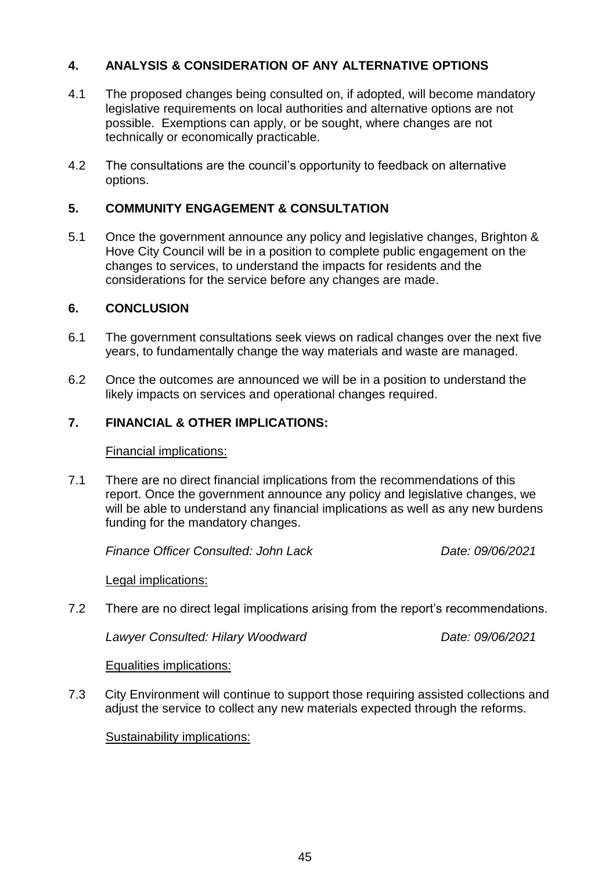## **4. ANALYSIS & CONSIDERATION OF ANY ALTERNATIVE OPTIONS**

- 4.1 The proposed changes being consulted on, if adopted, will become mandatory legislative requirements on local authorities and alternative options are not possible. Exemptions can apply, or be sought, where changes are not technically or economically practicable.
- 4.2 The consultations are the council's opportunity to feedback on alternative options.

#### **5. COMMUNITY ENGAGEMENT & CONSULTATION**

5.1 Once the government announce any policy and legislative changes, Brighton & Hove City Council will be in a position to complete public engagement on the changes to services, to understand the impacts for residents and the considerations for the service before any changes are made.

#### **6. CONCLUSION**

- 6.1 The government consultations seek views on radical changes over the next five years, to fundamentally change the way materials and waste are managed.
- 6.2 Once the outcomes are announced we will be in a position to understand the likely impacts on services and operational changes required.

#### **7. FINANCIAL & OTHER IMPLICATIONS:**

Financial implications:

7.1 There are no direct financial implications from the recommendations of this report. Once the government announce any policy and legislative changes, we will be able to understand any financial implications as well as any new burdens funding for the mandatory changes.

*Finance Officer Consulted: John Lack Date: 09/06/2021*

Legal implications:

7.2 There are no direct legal implications arising from the report's recommendations.

*Lawyer Consulted: Hilary Woodward Date: 09/06/2021*

Equalities implications:

7.3 City Environment will continue to support those requiring assisted collections and adjust the service to collect any new materials expected through the reforms.

#### Sustainability implications: